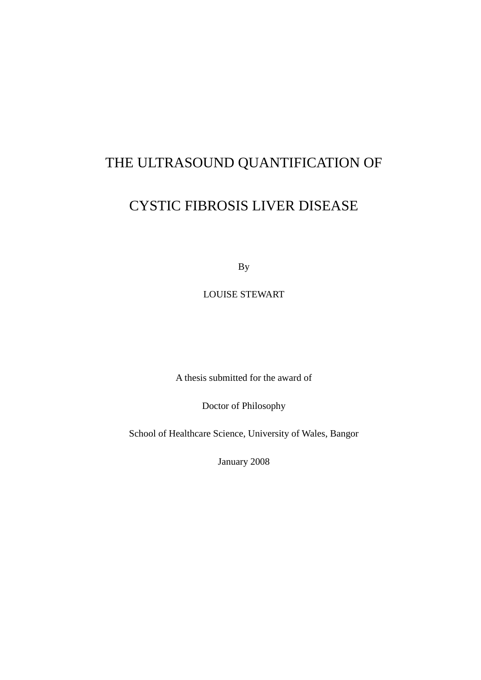# THE ULTRASOUND QUANTIFICATION OF

# CYSTIC FIBROSIS LIVER DISEASE

By

LOUISE STEWART

A thesis submitted for the award of

Doctor of Philosophy

School of Healthcare Science, University of Wales, Bangor

January 2008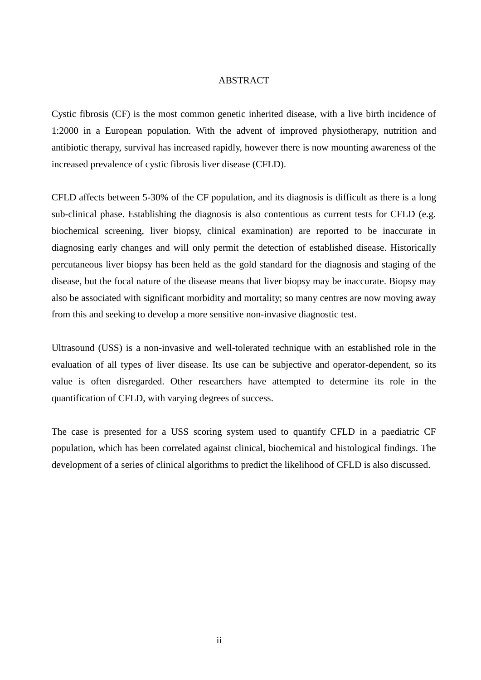## **ABSTRACT**

Cystic fibrosis (CF) is the most common genetic inherited disease, with a live birth incidence of 1:2000 in a European population. With the advent of improved physiotherapy, nutrition and antibiotic therapy, survival has increased rapidly, however there is now mounting awareness of the increased prevalence of cystic fibrosis liver disease (CFLD).

CFLD affects between 5-30% of the CF population, and its diagnosis is difficult as there is a long sub-clinical phase. Establishing the diagnosis is also contentious as current tests for CFLD (e.g. biochemical screening, liver biopsy, clinical examination) are reported to be inaccurate in diagnosing early changes and will only permit the detection of established disease. Historically percutaneous liver biopsy has been held as the gold standard for the diagnosis and staging of the disease, but the focal nature of the disease means that liver biopsy may be inaccurate. Biopsy may also be associated with significant morbidity and mortality; so many centres are now moving away from this and seeking to develop a more sensitive non-invasive diagnostic test.

Ultrasound (USS) is a non-invasive and well-tolerated technique with an established role in the evaluation of all types of liver disease. Its use can be subjective and operator-dependent, so its value is often disregarded. Other researchers have attempted to determine its role in the quantification of CFLD, with varying degrees of success.

The case is presented for a USS scoring system used to quantify CFLD in a paediatric CF population, which has been correlated against clinical, biochemical and histological findings. The development of a series of clinical algorithms to predict the likelihood of CFLD is also discussed.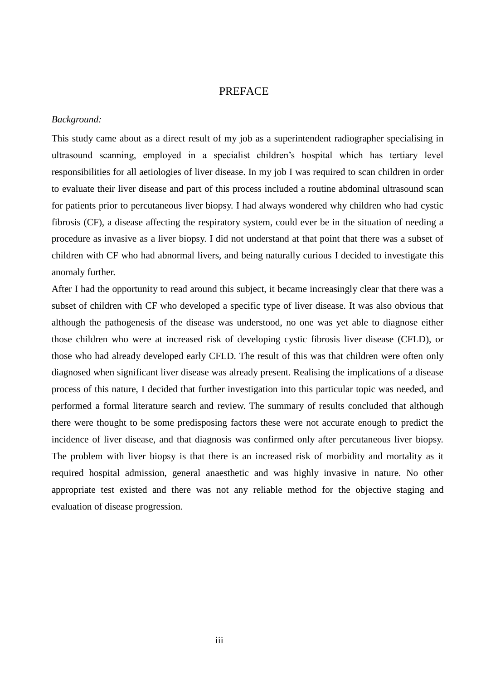## PREFACE

### *Background:*

This study came about as a direct result of my job as a superintendent radiographer specialising in ultrasound scanning, employed in a specialist children's hospital which has tertiary level responsibilities for all aetiologies of liver disease. In my job I was required to scan children in order to evaluate their liver disease and part of this process included a routine abdominal ultrasound scan for patients prior to percutaneous liver biopsy. I had always wondered why children who had cystic fibrosis (CF), a disease affecting the respiratory system, could ever be in the situation of needing a procedure as invasive as a liver biopsy. I did not understand at that point that there was a subset of children with CF who had abnormal livers, and being naturally curious I decided to investigate this anomaly further.

After I had the opportunity to read around this subject, it became increasingly clear that there was a subset of children with CF who developed a specific type of liver disease. It was also obvious that although the pathogenesis of the disease was understood, no one was yet able to diagnose either those children who were at increased risk of developing cystic fibrosis liver disease (CFLD), or those who had already developed early CFLD. The result of this was that children were often only diagnosed when significant liver disease was already present. Realising the implications of a disease process of this nature, I decided that further investigation into this particular topic was needed, and performed a formal literature search and review. The summary of results concluded that although there were thought to be some predisposing factors these were not accurate enough to predict the incidence of liver disease, and that diagnosis was confirmed only after percutaneous liver biopsy. The problem with liver biopsy is that there is an increased risk of morbidity and mortality as it required hospital admission, general anaesthetic and was highly invasive in nature. No other appropriate test existed and there was not any reliable method for the objective staging and evaluation of disease progression.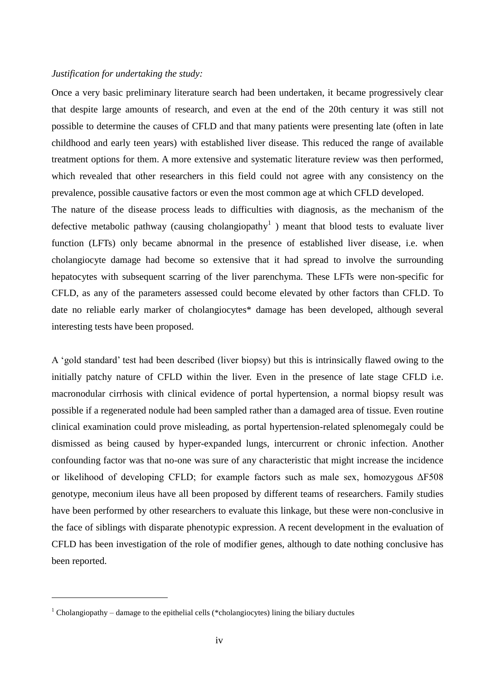## *Justification for undertaking the study:*

Once a very basic preliminary literature search had been undertaken, it became progressively clear that despite large amounts of research, and even at the end of the 20th century it was still not possible to determine the causes of CFLD and that many patients were presenting late (often in late childhood and early teen years) with established liver disease. This reduced the range of available treatment options for them. A more extensive and systematic literature review was then performed, which revealed that other researchers in this field could not agree with any consistency on the prevalence, possible causative factors or even the most common age at which CFLD developed.

The nature of the disease process leads to difficulties with diagnosis, as the mechanism of the defective metabolic pathway (causing cholangiopathy<sup>1</sup>) meant that blood tests to evaluate liver function (LFTs) only became abnormal in the presence of established liver disease, i.e. when cholangiocyte damage had become so extensive that it had spread to involve the surrounding hepatocytes with subsequent scarring of the liver parenchyma. These LFTs were non-specific for CFLD, as any of the parameters assessed could become elevated by other factors than CFLD. To date no reliable early marker of cholangiocytes\* damage has been developed, although several interesting tests have been proposed.

A 'gold standard' test had been described (liver biopsy) but this is intrinsically flawed owing to the initially patchy nature of CFLD within the liver. Even in the presence of late stage CFLD i.e. macronodular cirrhosis with clinical evidence of portal hypertension, a normal biopsy result was possible if a regenerated nodule had been sampled rather than a damaged area of tissue. Even routine clinical examination could prove misleading, as portal hypertension-related splenomegaly could be dismissed as being caused by hyper-expanded lungs, intercurrent or chronic infection. Another confounding factor was that no-one was sure of any characteristic that might increase the incidence or likelihood of developing CFLD; for example factors such as male sex, homozygous ΔF508 genotype, meconium ileus have all been proposed by different teams of researchers. Family studies have been performed by other researchers to evaluate this linkage, but these were non-conclusive in the face of siblings with disparate phenotypic expression. A recent development in the evaluation of CFLD has been investigation of the role of modifier genes, although to date nothing conclusive has been reported.

 $\overline{a}$ 

 $1$  Cholangiopathy – damage to the epithelial cells (\*cholangiocytes) lining the biliary ductules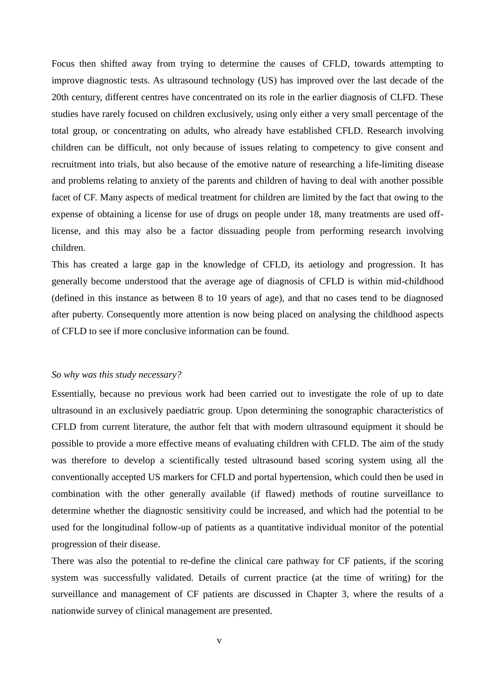Focus then shifted away from trying to determine the causes of CFLD, towards attempting to improve diagnostic tests. As ultrasound technology (US) has improved over the last decade of the 20th century, different centres have concentrated on its role in the earlier diagnosis of CLFD. These studies have rarely focused on children exclusively, using only either a very small percentage of the total group, or concentrating on adults, who already have established CFLD. Research involving children can be difficult, not only because of issues relating to competency to give consent and recruitment into trials, but also because of the emotive nature of researching a life-limiting disease and problems relating to anxiety of the parents and children of having to deal with another possible facet of CF. Many aspects of medical treatment for children are limited by the fact that owing to the expense of obtaining a license for use of drugs on people under 18, many treatments are used offlicense, and this may also be a factor dissuading people from performing research involving children.

This has created a large gap in the knowledge of CFLD, its aetiology and progression. It has generally become understood that the average age of diagnosis of CFLD is within mid-childhood (defined in this instance as between 8 to 10 years of age), and that no cases tend to be diagnosed after puberty. Consequently more attention is now being placed on analysing the childhood aspects of CFLD to see if more conclusive information can be found.

### *So why was this study necessary?*

Essentially, because no previous work had been carried out to investigate the role of up to date ultrasound in an exclusively paediatric group. Upon determining the sonographic characteristics of CFLD from current literature, the author felt that with modern ultrasound equipment it should be possible to provide a more effective means of evaluating children with CFLD. The aim of the study was therefore to develop a scientifically tested ultrasound based scoring system using all the conventionally accepted US markers for CFLD and portal hypertension, which could then be used in combination with the other generally available (if flawed) methods of routine surveillance to determine whether the diagnostic sensitivity could be increased, and which had the potential to be used for the longitudinal follow-up of patients as a quantitative individual monitor of the potential progression of their disease.

There was also the potential to re-define the clinical care pathway for CF patients, if the scoring system was successfully validated. Details of current practice (at the time of writing) for the surveillance and management of CF patients are discussed in Chapter 3, where the results of a nationwide survey of clinical management are presented.